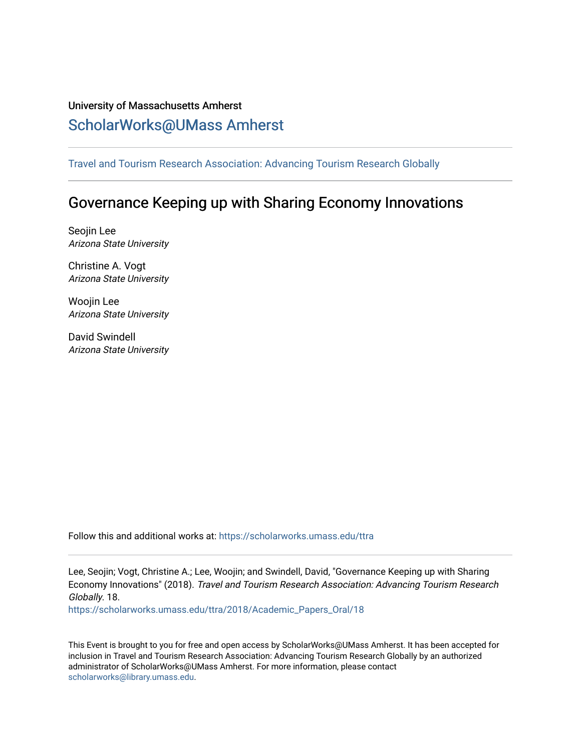## University of Massachusetts Amherst [ScholarWorks@UMass Amherst](https://scholarworks.umass.edu/)

[Travel and Tourism Research Association: Advancing Tourism Research Globally](https://scholarworks.umass.edu/ttra) 

# Governance Keeping up with Sharing Economy Innovations

Seojin Lee Arizona State University

Christine A. Vogt Arizona State University

Woojin Lee Arizona State University

David Swindell Arizona State University

Follow this and additional works at: [https://scholarworks.umass.edu/ttra](https://scholarworks.umass.edu/ttra?utm_source=scholarworks.umass.edu%2Fttra%2F2018%2FAcademic_Papers_Oral%2F18&utm_medium=PDF&utm_campaign=PDFCoverPages)

Lee, Seojin; Vogt, Christine A.; Lee, Woojin; and Swindell, David, "Governance Keeping up with Sharing Economy Innovations" (2018). Travel and Tourism Research Association: Advancing Tourism Research Globally. 18.

[https://scholarworks.umass.edu/ttra/2018/Academic\\_Papers\\_Oral/18](https://scholarworks.umass.edu/ttra/2018/Academic_Papers_Oral/18?utm_source=scholarworks.umass.edu%2Fttra%2F2018%2FAcademic_Papers_Oral%2F18&utm_medium=PDF&utm_campaign=PDFCoverPages) 

This Event is brought to you for free and open access by ScholarWorks@UMass Amherst. It has been accepted for inclusion in Travel and Tourism Research Association: Advancing Tourism Research Globally by an authorized administrator of ScholarWorks@UMass Amherst. For more information, please contact [scholarworks@library.umass.edu.](mailto:scholarworks@library.umass.edu)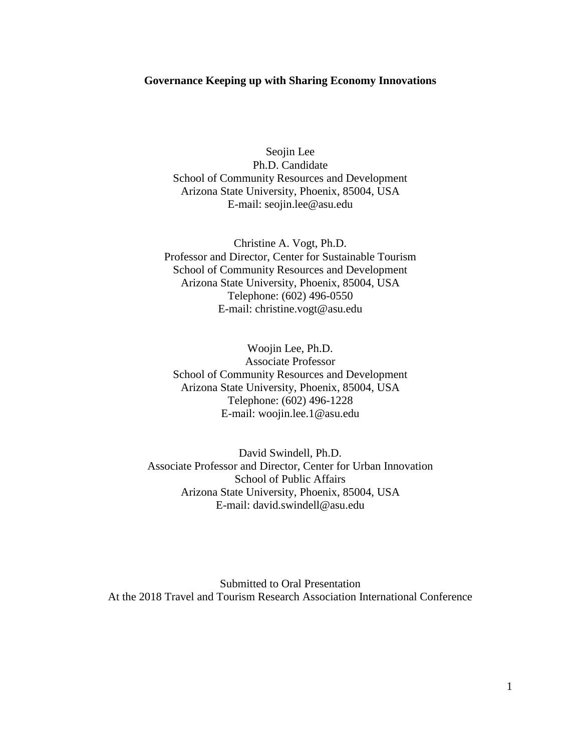#### **Governance Keeping up with Sharing Economy Innovations**

Seojin Lee Ph.D. Candidate School of Community Resources and Development Arizona State University, Phoenix, 85004, USA E-mail: seojin.lee@asu.edu

Christine A. Vogt, Ph.D. Professor and Director, Center for Sustainable Tourism School of Community Resources and Development Arizona State University, Phoenix, 85004, USA Telephone: (602) 496-0550 E-mail: christine.vogt@asu.edu

Woojin Lee, Ph.D. Associate Professor School of Community Resources and Development Arizona State University, Phoenix, 85004, USA Telephone: (602) 496-1228 E-mail: woojin.lee.1@asu.edu

David Swindell, Ph.D. Associate Professor and Director, Center for Urban Innovation School of Public Affairs Arizona State University, Phoenix, 85004, USA E-mail: david.swindell@asu.edu

Submitted to Oral Presentation At the 2018 Travel and Tourism Research Association International Conference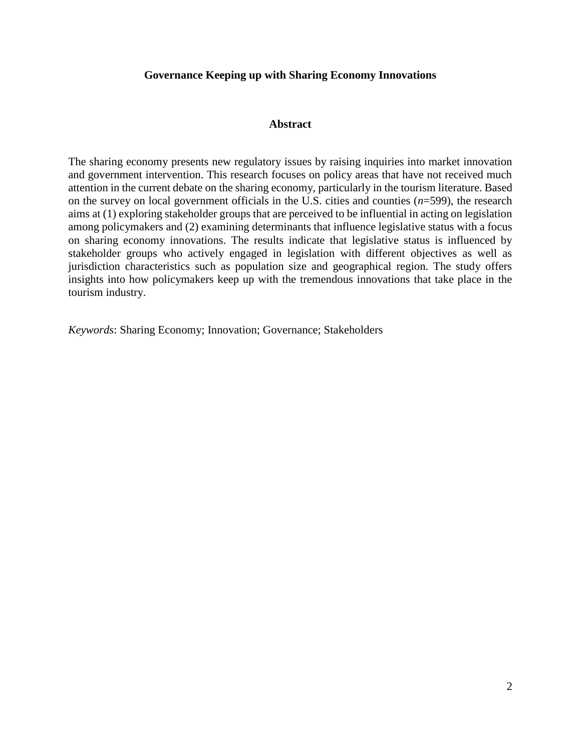## **Governance Keeping up with Sharing Economy Innovations**

## **Abstract**

The sharing economy presents new regulatory issues by raising inquiries into market innovation and government intervention. This research focuses on policy areas that have not received much attention in the current debate on the sharing economy, particularly in the tourism literature. Based on the survey on local government officials in the U.S. cities and counties (*n*=599), the research aims at (1) exploring stakeholder groups that are perceived to be influential in acting on legislation among policymakers and (2) examining determinants that influence legislative status with a focus on sharing economy innovations. The results indicate that legislative status is influenced by stakeholder groups who actively engaged in legislation with different objectives as well as jurisdiction characteristics such as population size and geographical region. The study offers insights into how policymakers keep up with the tremendous innovations that take place in the tourism industry.

*Keywords*: Sharing Economy; Innovation; Governance; Stakeholders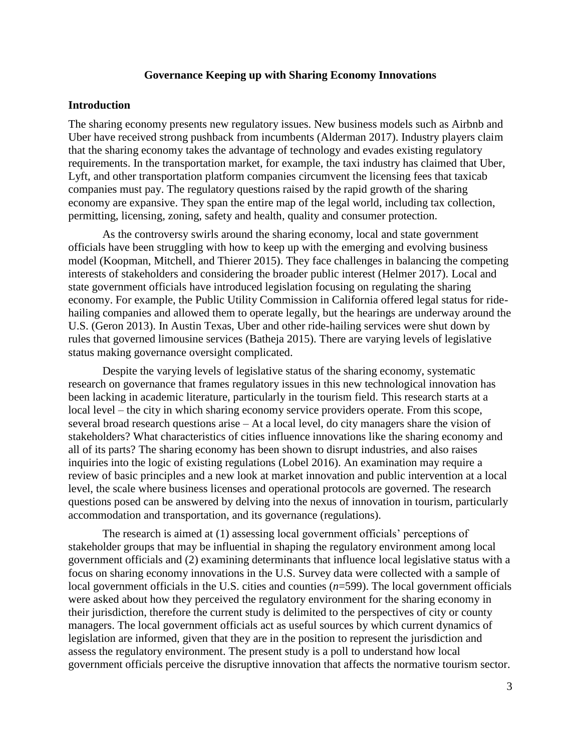## **Governance Keeping up with Sharing Economy Innovations**

#### **Introduction**

The sharing economy presents new regulatory issues. New business models such as Airbnb and Uber have received strong pushback from incumbents (Alderman 2017). Industry players claim that the sharing economy takes the advantage of technology and evades existing regulatory requirements. In the transportation market, for example, the taxi industry has claimed that Uber, Lyft, and other transportation platform companies circumvent the licensing fees that taxicab companies must pay. The regulatory questions raised by the rapid growth of the sharing economy are expansive. They span the entire map of the legal world, including tax collection, permitting, licensing, zoning, safety and health, quality and consumer protection.

As the controversy swirls around the sharing economy, local and state government officials have been struggling with how to keep up with the emerging and evolving business model (Koopman, Mitchell, and Thierer 2015). They face challenges in balancing the competing interests of stakeholders and considering the broader public interest (Helmer 2017). Local and state government officials have introduced legislation focusing on regulating the sharing economy. For example, the Public Utility Commission in California offered legal status for ridehailing companies and allowed them to operate legally, but the hearings are underway around the U.S. (Geron 2013). In Austin Texas, Uber and other ride-hailing services were shut down by rules that governed limousine services (Batheja 2015). There are varying levels of legislative status making governance oversight complicated.

Despite the varying levels of legislative status of the sharing economy, systematic research on governance that frames regulatory issues in this new technological innovation has been lacking in academic literature, particularly in the tourism field. This research starts at a local level – the city in which sharing economy service providers operate. From this scope, several broad research questions arise – At a local level, do city managers share the vision of stakeholders? What characteristics of cities influence innovations like the sharing economy and all of its parts? The sharing economy has been shown to disrupt industries, and also raises inquiries into the logic of existing regulations (Lobel 2016). An examination may require a review of basic principles and a new look at market innovation and public intervention at a local level, the scale where business licenses and operational protocols are governed. The research questions posed can be answered by delving into the nexus of innovation in tourism, particularly accommodation and transportation, and its governance (regulations).

The research is aimed at (1) assessing local government officials' perceptions of stakeholder groups that may be influential in shaping the regulatory environment among local government officials and (2) examining determinants that influence local legislative status with a focus on sharing economy innovations in the U.S. Survey data were collected with a sample of local government officials in the U.S. cities and counties (*n*=599). The local government officials were asked about how they perceived the regulatory environment for the sharing economy in their jurisdiction, therefore the current study is delimited to the perspectives of city or county managers. The local government officials act as useful sources by which current dynamics of legislation are informed, given that they are in the position to represent the jurisdiction and assess the regulatory environment. The present study is a poll to understand how local government officials perceive the disruptive innovation that affects the normative tourism sector.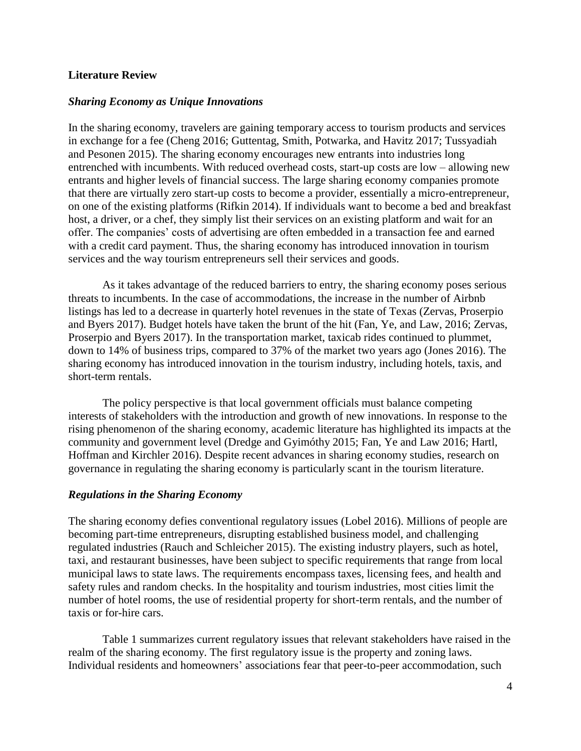## **Literature Review**

## *Sharing Economy as Unique Innovations*

In the sharing economy, travelers are gaining temporary access to tourism products and services in exchange for a fee (Cheng 2016; Guttentag, Smith, Potwarka, and Havitz 2017; Tussyadiah and Pesonen 2015). The sharing economy encourages new entrants into industries long entrenched with incumbents. With reduced overhead costs, start-up costs are low – allowing new entrants and higher levels of financial success. The large sharing economy companies promote that there are virtually zero start-up costs to become a provider, essentially a micro-entrepreneur, on one of the existing platforms (Rifkin 2014). If individuals want to become a bed and breakfast host, a driver, or a chef, they simply list their services on an existing platform and wait for an offer. The companies' costs of advertising are often embedded in a transaction fee and earned with a credit card payment. Thus, the sharing economy has introduced innovation in tourism services and the way tourism entrepreneurs sell their services and goods.

As it takes advantage of the reduced barriers to entry, the sharing economy poses serious threats to incumbents. In the case of accommodations, the increase in the number of Airbnb listings has led to a decrease in quarterly hotel revenues in the state of Texas (Zervas, Proserpio and Byers 2017). Budget hotels have taken the brunt of the hit (Fan, Ye, and Law, 2016; Zervas, Proserpio and Byers 2017). In the transportation market, taxicab rides continued to plummet, down to 14% of business trips, compared to 37% of the market two years ago (Jones 2016). The sharing economy has introduced innovation in the tourism industry, including hotels, taxis, and short-term rentals.

The policy perspective is that local government officials must balance competing interests of stakeholders with the introduction and growth of new innovations. In response to the rising phenomenon of the sharing economy, academic literature has highlighted its impacts at the community and government level (Dredge and Gyimóthy 2015; Fan, Ye and Law 2016; Hartl, Hoffman and Kirchler 2016). Despite recent advances in sharing economy studies, research on governance in regulating the sharing economy is particularly scant in the tourism literature.

## *Regulations in the Sharing Economy*

The sharing economy defies conventional regulatory issues (Lobel 2016). Millions of people are becoming part-time entrepreneurs, disrupting established business model, and challenging regulated industries (Rauch and Schleicher 2015). The existing industry players, such as hotel, taxi, and restaurant businesses, have been subject to specific requirements that range from local municipal laws to state laws. The requirements encompass taxes, licensing fees, and health and safety rules and random checks. In the hospitality and tourism industries, most cities limit the number of hotel rooms, the use of residential property for short-term rentals, and the number of taxis or for-hire cars.

Table 1 summarizes current regulatory issues that relevant stakeholders have raised in the realm of the sharing economy. The first regulatory issue is the property and zoning laws. Individual residents and homeowners' associations fear that peer-to-peer accommodation, such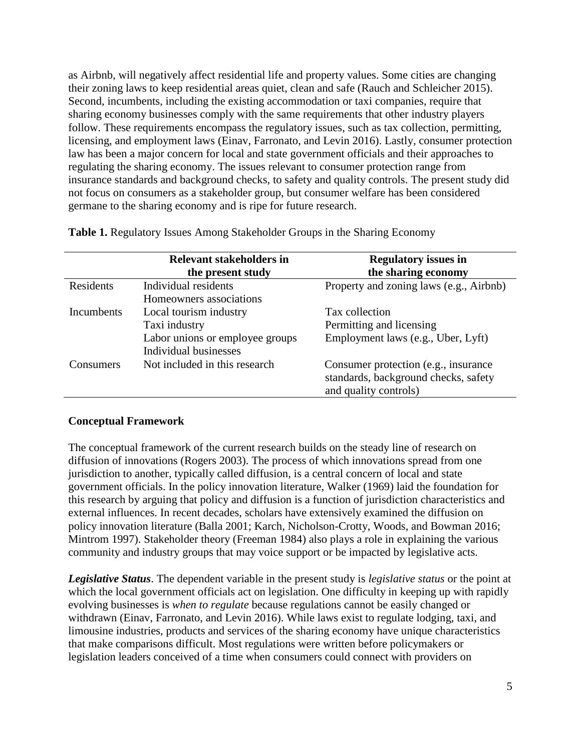as Airbnb, will negatively affect residential life and property values. Some cities are changing their zoning laws to keep residential areas quiet, clean and safe (Rauch and Schleicher 2015). Second, incumbents, including the existing accommodation or taxi companies, require that sharing economy businesses comply with the same requirements that other industry players follow. These requirements encompass the regulatory issues, such as tax collection, permitting, licensing, and employment laws (Einav, Farronato, and Levin 2016). Lastly, consumer protection law has been a major concern for local and state government officials and their approaches to regulating the sharing economy. The issues relevant to consumer protection range from insurance standards and background checks, to safety and quality controls. The present study did not focus on consumers as a stakeholder group, but consumer welfare has been considered germane to the sharing economy and is ripe for future research.

|                   | <b>Relevant stakeholders in</b><br>the present study                                                | <b>Regulatory issues in</b><br>the sharing economy                                                     |
|-------------------|-----------------------------------------------------------------------------------------------------|--------------------------------------------------------------------------------------------------------|
| Residents         | Individual residents<br>Homeowners associations                                                     | Property and zoning laws (e.g., Airbnb)                                                                |
| <b>Incumbents</b> | Local tourism industry<br>Taxi industry<br>Labor unions or employee groups<br>Individual businesses | Tax collection<br>Permitting and licensing<br>Employment laws (e.g., Uber, Lyft)                       |
| Consumers         | Not included in this research                                                                       | Consumer protection (e.g., insurance)<br>standards, background checks, safety<br>and quality controls) |

**Table 1.** Regulatory Issues Among Stakeholder Groups in the Sharing Economy

## **Conceptual Framework**

The conceptual framework of the current research builds on the steady line of research on diffusion of innovations (Rogers 2003). The process of which innovations spread from one jurisdiction to another, typically called diffusion, is a central concern of local and state government officials. In the policy innovation literature, Walker (1969) laid the foundation for this research by arguing that policy and diffusion is a function of jurisdiction characteristics and external influences. In recent decades, scholars have extensively examined the diffusion on policy innovation literature (Balla 2001; Karch, Nicholson-Crotty, Woods, and Bowman 2016; Mintrom 1997). Stakeholder theory (Freeman 1984) also plays a role in explaining the various community and industry groups that may voice support or be impacted by legislative acts.

*Legislative Status*. The dependent variable in the present study is *legislative status* or the point at which the local government officials act on legislation. One difficulty in keeping up with rapidly evolving businesses is *when to regulate* because regulations cannot be easily changed or withdrawn (Einav, Farronato, and Levin 2016). While laws exist to regulate lodging, taxi, and limousine industries, products and services of the sharing economy have unique characteristics that make comparisons difficult. Most regulations were written before policymakers or legislation leaders conceived of a time when consumers could connect with providers on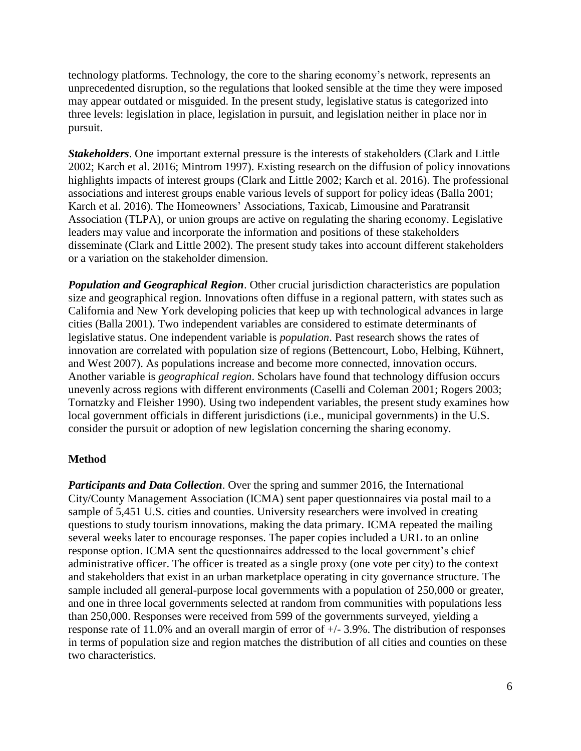technology platforms. Technology, the core to the sharing economy's network, represents an unprecedented disruption, so the regulations that looked sensible at the time they were imposed may appear outdated or misguided. In the present study, legislative status is categorized into three levels: legislation in place, legislation in pursuit, and legislation neither in place nor in pursuit.

*Stakeholders*. One important external pressure is the interests of stakeholders (Clark and Little 2002; Karch et al. 2016; Mintrom 1997). Existing research on the diffusion of policy innovations highlights impacts of interest groups (Clark and Little 2002; Karch et al. 2016). The professional associations and interest groups enable various levels of support for policy ideas (Balla 2001; Karch et al. 2016). The Homeowners' Associations, Taxicab, Limousine and Paratransit Association (TLPA), or union groups are active on regulating the sharing economy. Legislative leaders may value and incorporate the information and positions of these stakeholders disseminate (Clark and Little 2002). The present study takes into account different stakeholders or a variation on the stakeholder dimension.

*Population and Geographical Region*. Other crucial jurisdiction characteristics are population size and geographical region. Innovations often diffuse in a regional pattern, with states such as California and New York developing policies that keep up with technological advances in large cities (Balla 2001). Two independent variables are considered to estimate determinants of legislative status. One independent variable is *population*. Past research shows the rates of innovation are correlated with population size of regions (Bettencourt, Lobo, Helbing, Kühnert, and West 2007). As populations increase and become more connected, innovation occurs. Another variable is *geographical region*. Scholars have found that technology diffusion occurs unevenly across regions with different environments (Caselli and Coleman 2001; Rogers 2003; Tornatzky and Fleisher 1990). Using two independent variables, the present study examines how local government officials in different jurisdictions (i.e., municipal governments) in the U.S. consider the pursuit or adoption of new legislation concerning the sharing economy.

## **Method**

*Participants and Data Collection*. Over the spring and summer 2016, the International City/County Management Association (ICMA) sent paper questionnaires via postal mail to a sample of 5,451 U.S. cities and counties. University researchers were involved in creating questions to study tourism innovations, making the data primary. ICMA repeated the mailing several weeks later to encourage responses. The paper copies included a URL to an online response option. ICMA sent the questionnaires addressed to the local government's chief administrative officer. The officer is treated as a single proxy (one vote per city) to the context and stakeholders that exist in an urban marketplace operating in city governance structure. The sample included all general-purpose local governments with a population of 250,000 or greater, and one in three local governments selected at random from communities with populations less than 250,000. Responses were received from 599 of the governments surveyed, yielding a response rate of 11.0% and an overall margin of error of +/- 3.9%. The distribution of responses in terms of population size and region matches the distribution of all cities and counties on these two characteristics.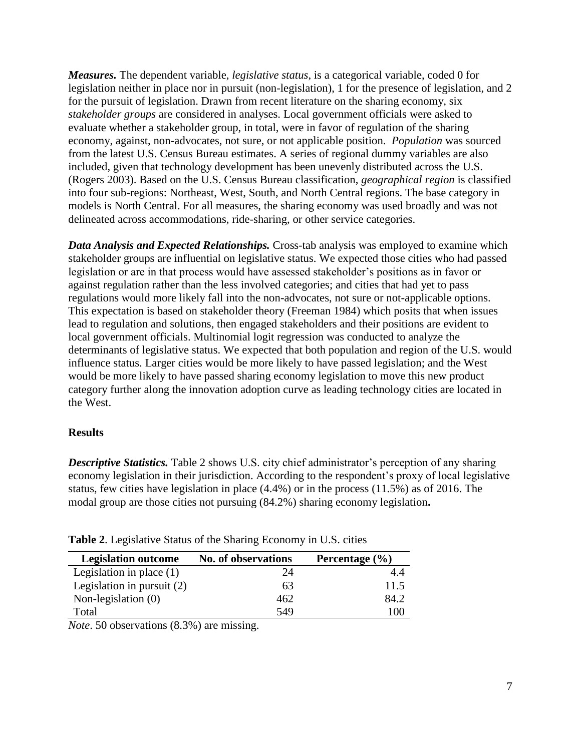*Measures.* The dependent variable, *legislative status*, is a categorical variable, coded 0 for legislation neither in place nor in pursuit (non-legislation), 1 for the presence of legislation, and 2 for the pursuit of legislation. Drawn from recent literature on the sharing economy, six *stakeholder groups* are considered in analyses. Local government officials were asked to evaluate whether a stakeholder group, in total, were in favor of regulation of the sharing economy, against, non-advocates, not sure, or not applicable position. *Population* was sourced from the latest U.S. Census Bureau estimates. A series of regional dummy variables are also included, given that technology development has been unevenly distributed across the U.S. (Rogers 2003). Based on the U.S. Census Bureau classification, *geographical region* is classified into four sub-regions: Northeast, West, South, and North Central regions. The base category in models is North Central. For all measures, the sharing economy was used broadly and was not delineated across accommodations, ride-sharing, or other service categories.

*Data Analysis and Expected Relationships.* Cross-tab analysis was employed to examine which stakeholder groups are influential on legislative status. We expected those cities who had passed legislation or are in that process would have assessed stakeholder's positions as in favor or against regulation rather than the less involved categories; and cities that had yet to pass regulations would more likely fall into the non-advocates, not sure or not-applicable options. This expectation is based on stakeholder theory (Freeman 1984) which posits that when issues lead to regulation and solutions, then engaged stakeholders and their positions are evident to local government officials. Multinomial logit regression was conducted to analyze the determinants of legislative status. We expected that both population and region of the U.S. would influence status. Larger cities would be more likely to have passed legislation; and the West would be more likely to have passed sharing economy legislation to move this new product category further along the innovation adoption curve as leading technology cities are located in the West.

## **Results**

*Descriptive Statistics.* Table 2 shows U.S. city chief administrator's perception of any sharing economy legislation in their jurisdiction. According to the respondent's proxy of local legislative status, few cities have legislation in place (4.4%) or in the process (11.5%) as of 2016. The modal group are those cities not pursuing (84.2%) sharing economy legislation**.**

| <b>Legislation outcome</b>   | <b>No. of observations</b> | Percentage $(\% )$ |
|------------------------------|----------------------------|--------------------|
| Legislation in place $(1)$   | 24                         | 4.4                |
| Legislation in pursuit $(2)$ | 63                         | 11.5               |
| Non-legislation $(0)$        | 462                        | 84.2               |
| Total                        | 549                        | 100                |

**Table 2**. Legislative Status of the Sharing Economy in U.S. cities

*Note*. 50 observations (8.3%) are missing.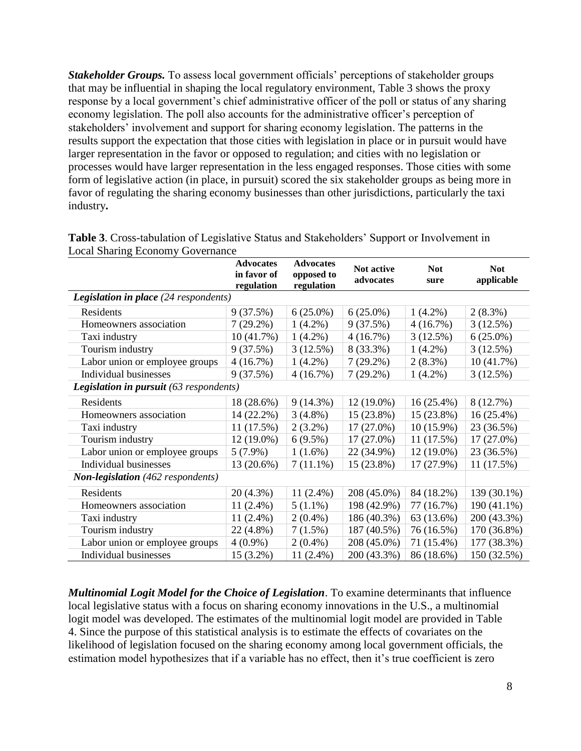*Stakeholder Groups.* To assess local government officials' perceptions of stakeholder groups that may be influential in shaping the local regulatory environment, Table 3 shows the proxy response by a local government's chief administrative officer of the poll or status of any sharing economy legislation. The poll also accounts for the administrative officer's perception of stakeholders' involvement and support for sharing economy legislation. The patterns in the results support the expectation that those cities with legislation in place or in pursuit would have larger representation in the favor or opposed to regulation; and cities with no legislation or processes would have larger representation in the less engaged responses. Those cities with some form of legislative action (in place, in pursuit) scored the six stakeholder groups as being more in favor of regulating the sharing economy businesses than other jurisdictions, particularly the taxi industry**.**

|                                              | <b>Advocates</b><br>in favor of<br>regulation | <b>Advocates</b><br>opposed to<br>regulation | Not active<br>advocates | <b>Not</b><br>sure | <b>Not</b><br>applicable |  |  |
|----------------------------------------------|-----------------------------------------------|----------------------------------------------|-------------------------|--------------------|--------------------------|--|--|
| <b>Legislation in place</b> (24 respondents) |                                               |                                              |                         |                    |                          |  |  |
| Residents                                    | 9(37.5%)                                      | $6(25.0\%)$                                  | $6(25.0\%)$             | $1(4.2\%)$         | $2(8.3\%)$               |  |  |
| Homeowners association                       | $7(29.2\%)$                                   | $1(4.2\%)$                                   | 9(37.5%)                | 4(16.7%)           | 3(12.5%)                 |  |  |
| Taxi industry                                | 10(41.7%)                                     | $1(4.2\%)$                                   | 4(16.7%)                | 3(12.5%)           | $6(25.0\%)$              |  |  |
| Tourism industry                             | 9(37.5%)                                      | 3(12.5%)                                     | 8 (33.3%)               | $1(4.2\%)$         | 3(12.5%)                 |  |  |
| Labor union or employee groups               | 4(16.7%)                                      | $1(4.2\%)$                                   | $7(29.2\%)$             | $2(8.3\%)$         | 10 (41.7%)               |  |  |
| Individual businesses                        | 9(37.5%)                                      | 4(16.7%)                                     | $7(29.2\%)$             | $1(4.2\%)$         | 3(12.5%)                 |  |  |
| Legislation in pursuit (63 respondents)      |                                               |                                              |                         |                    |                          |  |  |
| Residents                                    | 18 (28.6%)                                    | $9(14.3\%)$                                  | $12(19.0\%)$            | $16(25.4\%)$       | 8(12.7%)                 |  |  |
| Homeowners association                       | 14 (22.2%)                                    | $3(4.8\%)$                                   | $15(23.8\%)$            | 15 (23.8%)         | 16 (25.4%)               |  |  |
| Taxi industry                                | 11(17.5%)                                     | $2(3.2\%)$                                   | $17(27.0\%)$            | $10(15.9\%)$       | 23 (36.5%)               |  |  |
| Tourism industry                             | $12(19.0\%)$                                  | $6(9.5\%)$                                   | $17(27.0\%)$            | 11(17.5%)          | $17(27.0\%)$             |  |  |
| Labor union or employee groups               | $5(7.9\%)$                                    | $1(1.6\%)$                                   | 22 (34.9%)              | $12(19.0\%)$       | 23 (36.5%)               |  |  |
| Individual businesses                        | 13 (20.6%)                                    | $7(11.1\%)$                                  | 15 (23.8%)              | 17 (27.9%)         | 11 (17.5%)               |  |  |
| <b>Non-legislation</b> (462 respondents)     |                                               |                                              |                         |                    |                          |  |  |
| Residents                                    | $20(4.3\%)$                                   | $11(2.4\%)$                                  | 208 (45.0%)             | 84 (18.2%)         | 139 (30.1%)              |  |  |
| Homeowners association                       | $11(2.4\%)$                                   | $5(1.1\%)$                                   | 198 (42.9%)             | 77 (16.7%)         | 190 (41.1%)              |  |  |
| Taxi industry                                | $11(2.4\%)$                                   | $2(0.4\%)$                                   | 186 (40.3%)             | 63 (13.6%)         | 200 (43.3%)              |  |  |
| Tourism industry                             | 22 (4.8%)                                     | 7(1.5%)                                      | 187 (40.5%)             | 76 (16.5%)         | 170 (36.8%)              |  |  |
| Labor union or employee groups               | $4(0.9\%)$                                    | $2(0.4\%)$                                   | 208 (45.0%)             | 71 (15.4%)         | 177 (38.3%)              |  |  |
| Individual businesses                        | $15(3.2\%)$                                   | $11(2.4\%)$                                  | 200 (43.3%)             | 86 (18.6%)         | 150 (32.5%)              |  |  |

**Table 3**. Cross-tabulation of Legislative Status and Stakeholders' Support or Involvement in Local Sharing Economy Governance

*Multinomial Logit Model for the Choice of Legislation*. To examine determinants that influence local legislative status with a focus on sharing economy innovations in the U.S., a multinomial logit model was developed. The estimates of the multinomial logit model are provided in Table 4. Since the purpose of this statistical analysis is to estimate the effects of covariates on the likelihood of legislation focused on the sharing economy among local government officials, the estimation model hypothesizes that if a variable has no effect, then it's true coefficient is zero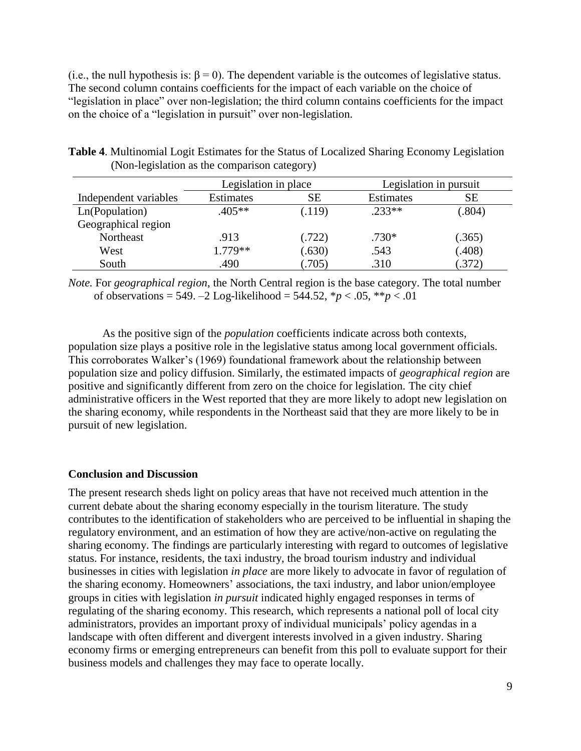(i.e., the null hypothesis is:  $\beta = 0$ ). The dependent variable is the outcomes of legislative status. The second column contains coefficients for the impact of each variable on the choice of "legislation in place" over non-legislation; the third column contains coefficients for the impact on the choice of a "legislation in pursuit" over non-legislation.

|                       | Legislation in place |        | Legislation in pursuit |        |  |
|-----------------------|----------------------|--------|------------------------|--------|--|
| Independent variables | <b>Estimates</b>     | SЕ     | Estimates              | SЕ     |  |
| Ln(Population)        | $.405**$             | (.119) | $.233**$               | (.804) |  |
| Geographical region   |                      |        |                        |        |  |
| Northeast             | .913                 | (.722) | $.730*$                | (.365) |  |
| West                  | $1.779**$            | (.630) | .543                   | (.408) |  |
| South                 | .490                 | .705)  | .310                   | (372)  |  |

**Table 4**. Multinomial Logit Estimates for the Status of Localized Sharing Economy Legislation (Non-legislation as the comparison category)

*Note.* For *geographical region*, the North Central region is the base category. The total number of observations = 549. –2 Log-likelihood = 544.52, \**p* < .05, \*\**p* < .01

As the positive sign of the *population* coefficients indicate across both contexts, population size plays a positive role in the legislative status among local government officials. This corroborates Walker's (1969) foundational framework about the relationship between population size and policy diffusion. Similarly, the estimated impacts of *geographical region* are positive and significantly different from zero on the choice for legislation. The city chief administrative officers in the West reported that they are more likely to adopt new legislation on the sharing economy, while respondents in the Northeast said that they are more likely to be in pursuit of new legislation.

## **Conclusion and Discussion**

The present research sheds light on policy areas that have not received much attention in the current debate about the sharing economy especially in the tourism literature. The study contributes to the identification of stakeholders who are perceived to be influential in shaping the regulatory environment, and an estimation of how they are active/non-active on regulating the sharing economy. The findings are particularly interesting with regard to outcomes of legislative status. For instance, residents, the taxi industry, the broad tourism industry and individual businesses in cities with legislation *in place* are more likely to advocate in favor of regulation of the sharing economy. Homeowners' associations, the taxi industry, and labor union/employee groups in cities with legislation *in pursuit* indicated highly engaged responses in terms of regulating of the sharing economy. This research, which represents a national poll of local city administrators, provides an important proxy of individual municipals' policy agendas in a landscape with often different and divergent interests involved in a given industry. Sharing economy firms or emerging entrepreneurs can benefit from this poll to evaluate support for their business models and challenges they may face to operate locally.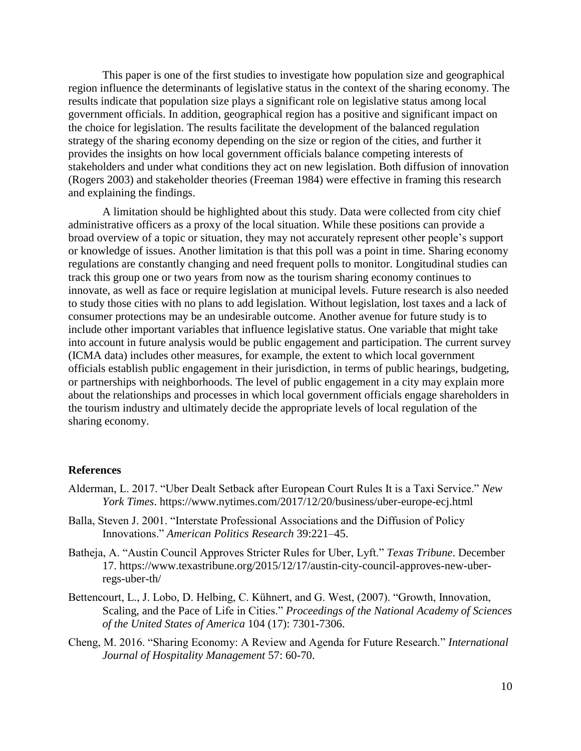This paper is one of the first studies to investigate how population size and geographical region influence the determinants of legislative status in the context of the sharing economy. The results indicate that population size plays a significant role on legislative status among local government officials. In addition, geographical region has a positive and significant impact on the choice for legislation. The results facilitate the development of the balanced regulation strategy of the sharing economy depending on the size or region of the cities, and further it provides the insights on how local government officials balance competing interests of stakeholders and under what conditions they act on new legislation. Both diffusion of innovation (Rogers 2003) and stakeholder theories (Freeman 1984) were effective in framing this research and explaining the findings.

A limitation should be highlighted about this study. Data were collected from city chief administrative officers as a proxy of the local situation. While these positions can provide a broad overview of a topic or situation, they may not accurately represent other people's support or knowledge of issues. Another limitation is that this poll was a point in time. Sharing economy regulations are constantly changing and need frequent polls to monitor. Longitudinal studies can track this group one or two years from now as the tourism sharing economy continues to innovate, as well as face or require legislation at municipal levels. Future research is also needed to study those cities with no plans to add legislation. Without legislation, lost taxes and a lack of consumer protections may be an undesirable outcome. Another avenue for future study is to include other important variables that influence legislative status. One variable that might take into account in future analysis would be public engagement and participation. The current survey (ICMA data) includes other measures, for example, the extent to which local government officials establish public engagement in their jurisdiction, in terms of public hearings, budgeting, or partnerships with neighborhoods. The level of public engagement in a city may explain more about the relationships and processes in which local government officials engage shareholders in the tourism industry and ultimately decide the appropriate levels of local regulation of the sharing economy.

#### **References**

- Alderman, L. 2017. "Uber Dealt Setback after European Court Rules It is a Taxi Service." *New York Times*. https://www.nytimes.com/2017/12/20/business/uber-europe-ecj.html
- Balla, Steven J. 2001. "Interstate Professional Associations and the Diffusion of Policy Innovations." *American Politics Research* 39:221–45.
- Batheja, A. "Austin Council Approves Stricter Rules for Uber, Lyft." *Texas Tribune*. December 17. https://www.texastribune.org/2015/12/17/austin-city-council-approves-new-uberregs-uber-th/
- Bettencourt, L., J. Lobo, D. Helbing, C. Kühnert, and G. West, (2007). "Growth, Innovation, Scaling, and the Pace of Life in Cities." *Proceedings of the National Academy of Sciences of the United States of America* 104 (17): 7301-7306.
- Cheng, M. 2016. "Sharing Economy: A Review and Agenda for Future Research." *International Journal of Hospitality Management* 57: 60-70.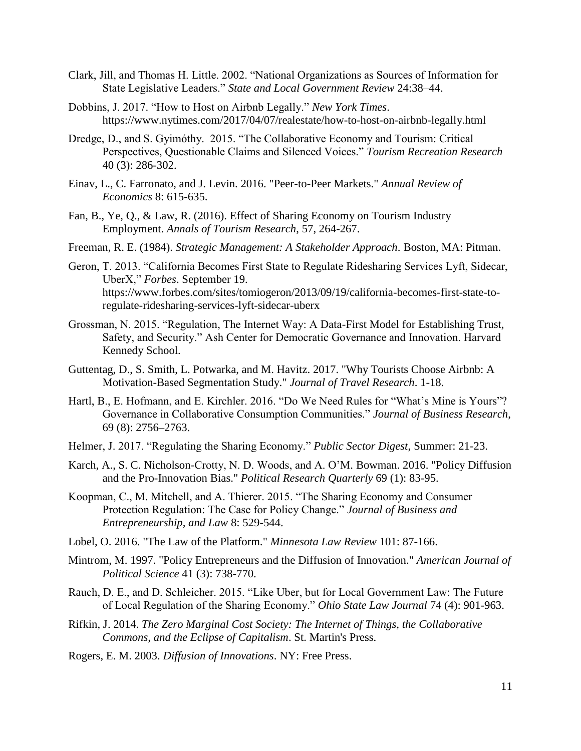- Clark, Jill, and Thomas H. Little. 2002. "National Organizations as Sources of Information for State Legislative Leaders." *State and Local Government Review* 24:38–44.
- Dobbins, J. 2017. "How to Host on Airbnb Legally." *New York Times*. https://www.nytimes.com/2017/04/07/realestate/how-to-host-on-airbnb-legally.html
- Dredge, D., and S. Gyimóthy. 2015. "The Collaborative Economy and Tourism: Critical Perspectives, Questionable Claims and Silenced Voices." *Tourism Recreation Research*  40 (3): 286-302.
- Einav, L., C. Farronato, and J. Levin. 2016. "Peer-to-Peer Markets." *Annual Review of Economics* 8: 615-635.
- Fan, B., Ye, Q., & Law, R. (2016). Effect of Sharing Economy on Tourism Industry Employment. *Annals of Tourism Research*, 57, 264-267.
- Freeman, R. E. (1984). *Strategic Management: A Stakeholder Approach*. Boston, MA: Pitman.
- Geron, T. 2013. "California Becomes First State to Regulate Ridesharing Services Lyft, Sidecar, UberX," *Forbes*. September 19. https://www.forbes.com/sites/tomiogeron/2013/09/19/california-becomes-first-state-toregulate-ridesharing-services-lyft-sidecar-uberx
- Grossman, N. 2015. "Regulation, The Internet Way: A Data-First Model for Establishing Trust, Safety, and Security." Ash Center for Democratic Governance and Innovation. Harvard Kennedy School.
- Guttentag, D., S. Smith, L. Potwarka, and M. Havitz. 2017. "Why Tourists Choose Airbnb: A Motivation-Based Segmentation Study." *Journal of Travel Research*. 1-18.
- Hartl, B., E. Hofmann, and E. Kirchler. 2016. "Do We Need Rules for "What's Mine is Yours"? Governance in Collaborative Consumption Communities." *Journal of Business Research*, 69 (8): 2756–2763.
- Helmer, J. 2017. "Regulating the Sharing Economy." *Public Sector Digest*, Summer: 21-23.
- Karch, A., S. C. Nicholson-Crotty, N. D. Woods, and A. O'M. Bowman. 2016. "Policy Diffusion and the Pro-Innovation Bias." *Political Research Quarterly* 69 (1): 83-95.
- Koopman, C., M. Mitchell, and A. Thierer. 2015. "The Sharing Economy and Consumer Protection Regulation: The Case for Policy Change." *Journal of Business and Entrepreneurship, and Law* 8: 529-544.
- Lobel, O. 2016. "The Law of the Platform." *Minnesota Law Review* 101: 87-166.
- Mintrom, M. 1997. "Policy Entrepreneurs and the Diffusion of Innovation." *American Journal of Political Science* 41 (3): 738-770.
- Rauch, D. E., and D. Schleicher. 2015. "Like Uber, but for Local Government Law: The Future of Local Regulation of the Sharing Economy." *Ohio State Law Journal* 74 (4): 901-963.
- Rifkin, J. 2014. *The Zero Marginal Cost Society: The Internet of Things, the Collaborative Commons, and the Eclipse of Capitalism*. St. Martin's Press.
- Rogers, E. M. 2003. *Diffusion of Innovations*. NY: Free Press.